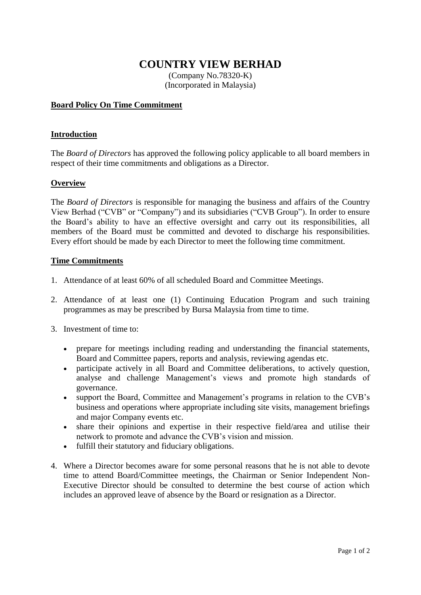# **COUNTRY VIEW BERHAD**

(Company No.78320-K) (Incorporated in Malaysia)

# **Board Policy On Time Commitment**

## **Introduction**

The *Board of Directors* has approved the following policy applicable to all board members in respect of their time commitments and obligations as a Director.

#### **Overview**

The *Board of Directors* is responsible for managing the business and affairs of the Country View Berhad ("CVB" or "Company") and its subsidiaries ("CVB Group"). In order to ensure the Board's ability to have an effective oversight and carry out its responsibilities, all members of the Board must be committed and devoted to discharge his responsibilities. Every effort should be made by each Director to meet the following time commitment.

## **Time Commitments**

- 1. Attendance of at least 60% of all scheduled Board and Committee Meetings.
- 2. Attendance of at least one (1) Continuing Education Program and such training programmes as may be prescribed by Bursa Malaysia from time to time.
- 3. Investment of time to:
	- prepare for meetings including reading and understanding the financial statements, Board and Committee papers, reports and analysis, reviewing agendas etc.
	- participate actively in all Board and Committee deliberations, to actively question, analyse and challenge Management's views and promote high standards of governance.
	- support the Board, Committee and Management's programs in relation to the CVB's business and operations where appropriate including site visits, management briefings and major Company events etc.
	- share their opinions and expertise in their respective field/area and utilise their network to promote and advance the CVB's vision and mission.
	- fulfill their statutory and fiduciary obligations.
- 4. Where a Director becomes aware for some personal reasons that he is not able to devote time to attend Board/Committee meetings, the Chairman or Senior Independent Non-Executive Director should be consulted to determine the best course of action which includes an approved leave of absence by the Board or resignation as a Director.